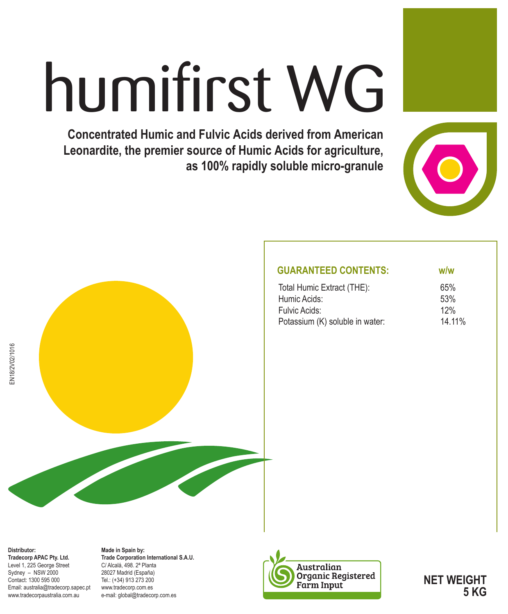# humifirst WG

**Concentrated Humic and Fulvic Acids derived from American Leonardite, the premier source of Humic Acids for agriculture, as 100% rapidly soluble micro-granule**





### **GUARANTEED CONTENTS: w/w** Total Humic Extract (THE): 65%<br>Humic Acids: 53% Humic Acids: Fulvic Acids: 12% Potassium (K) soluble in water: 14.11%

**Distributor: Tradecorp APAC Pty. Ltd.** Level 1, 225 George Street Sydney – NSW 2000 Contact: 1300 595 000 Email: australia@tradecorp.sapec.pt www.tradecorpaustralia.com.au

EN18/2V02/1016

EN18/2V02/1016

**Made in Spain by: Trade Corporation International S.A.U.** C/ Alcalá, 498. 2ª Planta 28027 Madrid (España) Tel.: (+34) 913 273 200 www.tradecorp.com.es e-mail: global@tradecorp.com.es



**NET WEIGHT 5 KG**